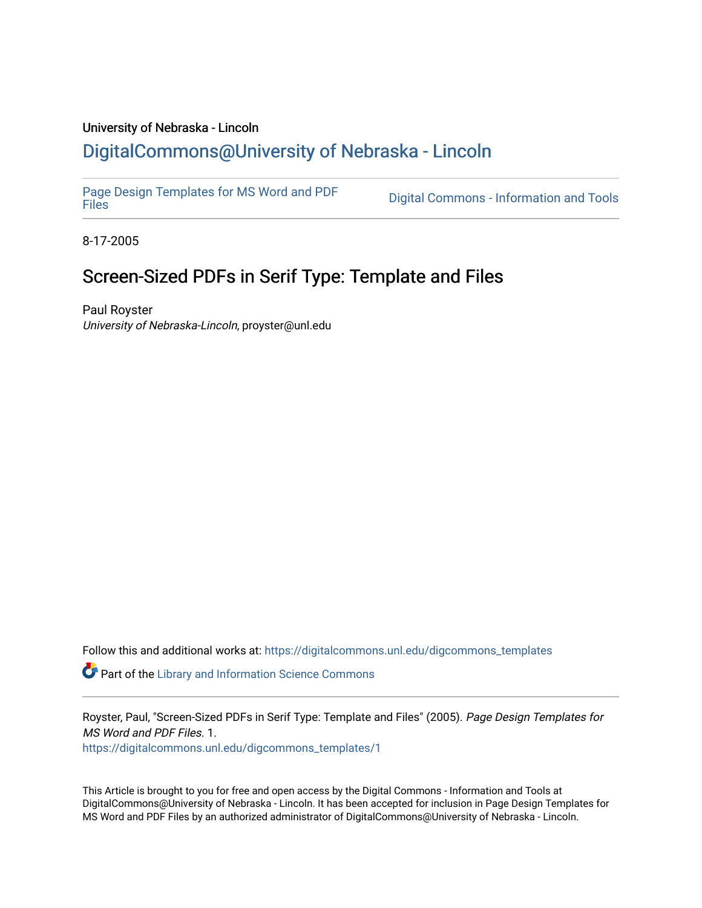#### University of Nebraska - Lincoln [DigitalCommons@University of Nebraska - Lincoln](https://digitalcommons.unl.edu/)

[Page Design Templates for MS Word and PDF](https://digitalcommons.unl.edu/digcommons_templates)

Digital Commons - Information and Tools

8-17-2005

## Screen-Sized PDFs in Serif Type: Template and Files

Paul Royster University of Nebraska-Lincoln, proyster@unl.edu

Follow this and additional works at: [https://digitalcommons.unl.edu/digcommons\\_templates](https://digitalcommons.unl.edu/digcommons_templates?utm_source=digitalcommons.unl.edu%2Fdigcommons_templates%2F1&utm_medium=PDF&utm_campaign=PDFCoverPages) 

**P** Part of the Library and Information Science Commons

Royster, Paul, "Screen-Sized PDFs in Serif Type: Template and Files" (2005). Page Design Templates for MS Word and PDF Files. 1.

[https://digitalcommons.unl.edu/digcommons\\_templates/1](https://digitalcommons.unl.edu/digcommons_templates/1?utm_source=digitalcommons.unl.edu%2Fdigcommons_templates%2F1&utm_medium=PDF&utm_campaign=PDFCoverPages) 

This Article is brought to you for free and open access by the Digital Commons - Information and Tools at DigitalCommons@University of Nebraska - Lincoln. It has been accepted for inclusion in Page Design Templates for MS Word and PDF Files by an authorized administrator of DigitalCommons@University of Nebraska - Lincoln.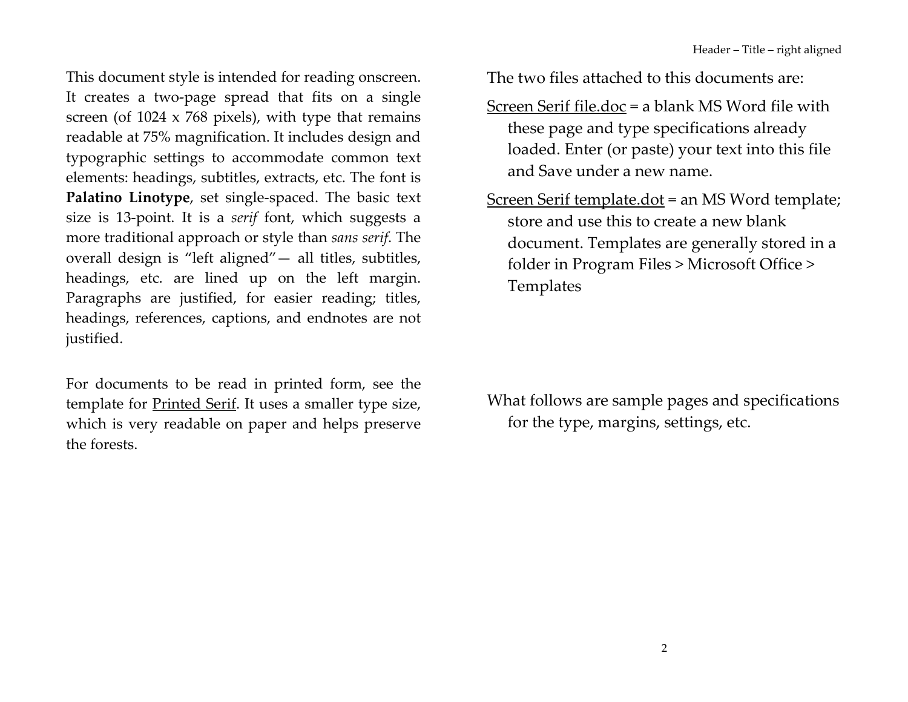This document style is intended for reading onscreen. It creates a two-page spread that fits on a single screen (of  $1024 \times 768$  pixels), with type that remains readable at 75% magnification. It includes design and typographic settings to accommodate common text elements: headings, subtitles, extracts, etc. The font is Palatino Linotype, set single-spaced. The basic text size is 13-point. It is a serif font, which suggests a more traditional approach or style than sans serif. The overall design is "left aligned" - all titles, subtitles, headings, etc. are lined up on the left margin. Paragraphs are justified, for easier reading; titles, headings, references, captions, and endnotes are not justified.

For documents to be read in printed form, see the template for Printed Serif. It uses a smaller type size, which is very readable on paper and helps preserve the forests

The two files attached to this documents are:

- Screen Serif file.doc = a blank MS Word file with these page and type specifications already loaded. Enter (or paste) your text into this file and Save under a new name.
- Screen Serif template.dot = an MS Word template; store and use this to create a new blank document. Templates are generally stored in a folder in Program Files > Microsoft Office > Templates

What follows are sample pages and specifications for the type, margins, settings, etc.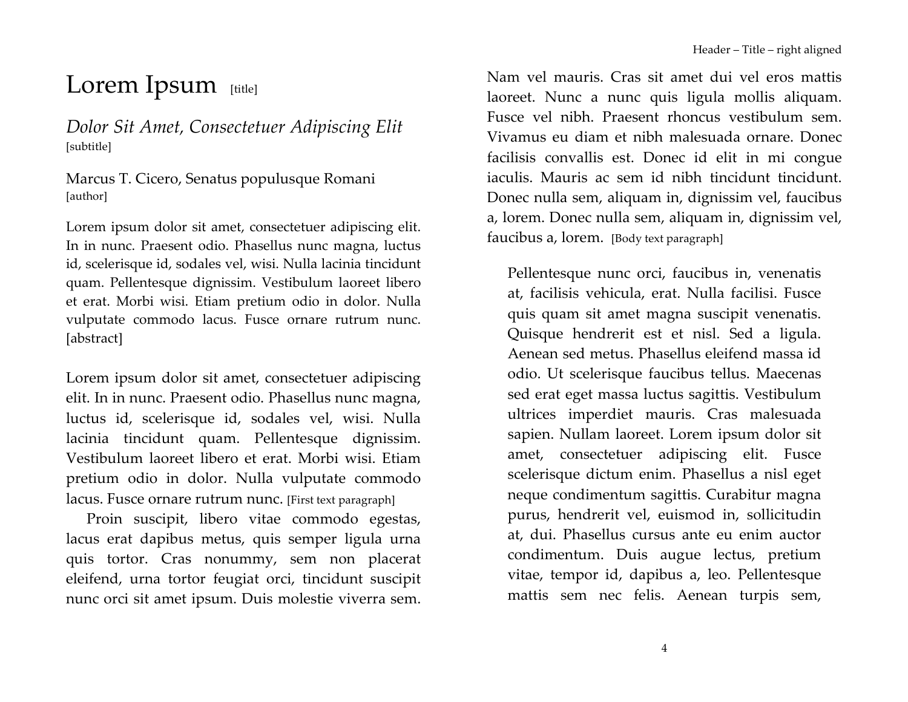# Lorem Ipsum [title]

Dolor Sit Amet, Consectetuer Adipiscing Elit [subtitle]

Marcus T. Cicero, Senatus populusque Romani [author]

Lorem ipsum dolor sit amet, consectetuer adipiscing elit. In in nunc. Praesent odio. Phasellus nunc magna, luctus id, scelerisque id, sodales vel, wisi. Nulla lacinia tincidunt quam. Pellentesque dignissim. Vestibulum laoreet libero et erat. Morbi wisi. Etiam pretium odio in dolor. Nulla vulputate commodo lacus. Fusce ornare rutrum nunc. [abstract]

Lorem ipsum dolor sit amet, consectetuer adipiscing elit. In in nunc. Praesent odio. Phasellus nunc magna, luctus id, scelerisque id, sodales vel, wisi. Nulla lacinia tincidunt quam. Pellentesque dignissim. Vestibulum laoreet libero et erat. Morbi wisi. Etiam pretium odio in dolor. Nulla vulputate commodo lacus. Fusce ornare rutrum nunc. [First text paragraph]

Proin suscipit, libero vitae commodo egestas, lacus erat dapibus metus, quis semper ligula urna quis tortor. Cras nonummy, sem non placerat eleifend, urna tortor feugiat orci, tincidunt suscipit nunc orci sit amet ipsum. Duis molestie viverra sem. Nam vel mauris. Cras sit amet dui vel eros mattis laoreet. Nunc a nunc quis ligula mollis aliquam. Fusce vel nibh. Praesent rhoncus vestibulum sem. Vivamus eu diam et nibh malesuada ornare. Donec facilisis convallis est. Donec id elit in mi congue iaculis. Mauris ac sem id nibh tincidunt tincidunt. Donec nulla sem, aliquam in, dignissim vel, faucibus a, lorem. Donec nulla sem, aliquam in, dignissim vel, faucibus a, lorem. [Body text paragraph]

Pellentesque nunc orci, faucibus in, venenatis at, facilisis vehicula, erat. Nulla facilisi. Fusce quis quam sit amet magna suscipit venenatis. Quisque hendrerit est et nisl. Sed a ligula. Aenean sed metus. Phasellus eleifend massa id odio. Ut scelerisque faucibus tellus. Maecenas sed erat eget massa luctus sagittis. Vestibulum ultrices imperdiet mauris. Cras malesuada sapien. Nullam laoreet. Lorem ipsum dolor sit amet, consectetuer adipiscing elit. Fusce scelerisque dictum enim. Phasellus a nisl eget neque condimentum sagittis. Curabitur magna purus, hendrerit vel, euismod in, sollicitudin at, dui. Phasellus cursus ante eu enim auctor condimentum. Duis augue lectus, pretium vitae, tempor id, dapibus a, leo. Pellentesque mattis sem nec felis. Aenean turpis sem,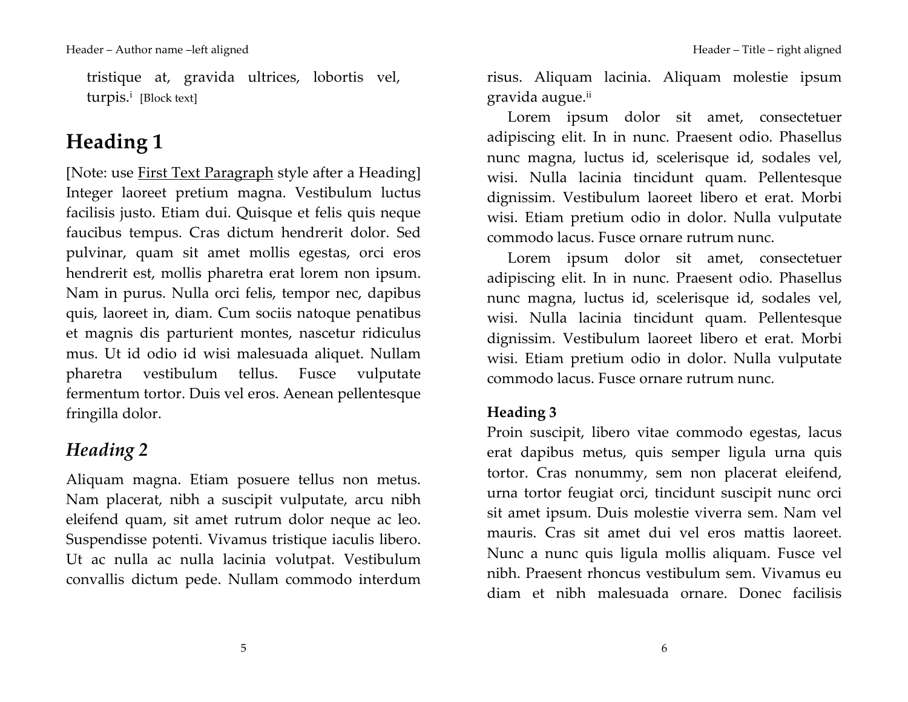tristique at, gravida ultrices, lobortis vel, turpis.<sup>i</sup> [Block text]

# Heading 1

[Note: use First Text Paragraph style after a Heading] Integer laoreet pretium magna. Vestibulum luctus facilisis justo. Etiam dui. Quisque et felis quis neque faucibus tempus. Cras dictum hendrerit dolor. Sed pulvinar, quam sit amet mollis egestas, orci eros hendrerit est, mollis pharetra erat lorem non ipsum. Nam in purus. Nulla orci felis, tempor nec, dapibus quis, laoreet in, diam. Cum sociis natoque penatibus et magnis dis parturient montes, nascetur ridiculus mus. Ut id odio id wisi malesuada aliquet. Nullam pharetra vestibulum tellus. Fusce vulputate fermentum tortor. Duis vel eros. Aenean pellentesque fringilla dolor.

## Heading 2

Aliquam magna. Etiam posuere tellus non metus. Nam placerat, nibh a suscipit vulputate, arcu nibh eleifend quam, sit amet rutrum dolor neque ac leo. Suspendisse potenti. Vivamus tristique iaculis libero. Ut ac nulla ac nulla lacinia volutpat. Vestibulum convallis dictum pede. Nullam commodo interdum

risus. Aliquam lacinia. Aliquam molestie ipsum gravida augue.ii

Lorem ipsum dolor sit amet, consectetuer adipiscing elit. In in nunc. Praesent odio. Phasellus nunc magna, luctus id, scelerisque id, sodales vel, wisi. Nulla lacinia tincidunt quam. Pellentesque dignissim. Vestibulum laoreet libero et erat. Morbi wisi. Etiam pretium odio in dolor. Nulla vulputate commodo lacus. Fusce ornare rutrum nunc.

Lorem ipsum dolor sit amet, consectetuer adipiscing elit. In in nunc. Praesent odio. Phasellus nunc magna, luctus id, scelerisque id, sodales vel, wisi. Nulla lacinia tincidunt quam. Pellentesque dignissim. Vestibulum laoreet libero et erat. Morbi wisi. Etiam pretium odio in dolor. Nulla vulputate commodo lacus. Fusce ornare rutrum nunc.

#### Heading 3

Proin suscipit, libero vitae commodo egestas, lacus erat dapibus metus, quis semper ligula urna quis tortor. Cras nonummy, sem non placerat eleifend, urna tortor feugiat orci, tincidunt suscipit nunc orci sit amet ipsum. Duis molestie viverra sem. Nam vel mauris. Cras sit amet dui vel eros mattis laoreet. Nunc a nunc quis ligula mollis aliquam. Fusce vel nibh. Praesent rhoncus vestibulum sem. Vivamus eu diam et nibh malesuada ornare. Donec facilisis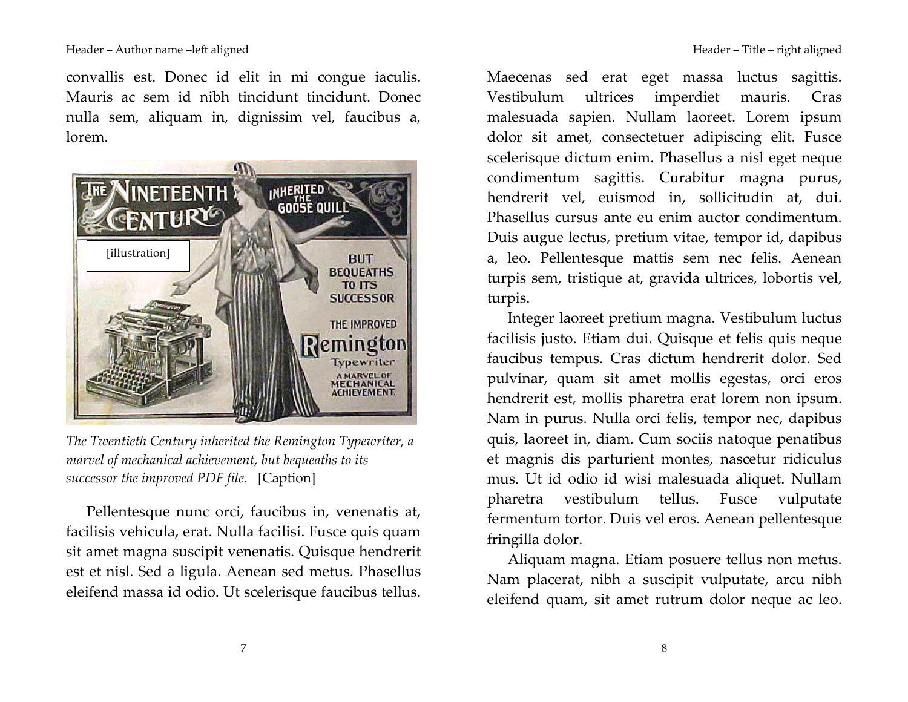convallis est. Donec id elit in mi congue iaculis. Mauris ac sem id nibh tincidunt tincidunt. Donec nulla sem, aliquam in, dignissim vel, faucibus a,  $l<sub>orem</sub>$ 



The Twentieth Century inherited the Remington Typewriter, a marvel of mechanical achievement, but bequeaths to its successor the improved PDF file. [Caption]

Pellentesque nunc orci, faucibus in, venenatis at, facilisis vehicula, erat. Nulla facilisi. Fusce quis quam sit amet magna suscipit venenatis. Quisque hendrerit est et nisl. Sed a ligula. Aenean sed metus. Phasellus eleifend massa id odio. Ut scelerisque faucibus tellus.

Maecenas sed erat eget massa luctus sagittis. Vestibulum ultrices imperdiet mauris. Cras malesuada sapien. Nullam laoreet. Lorem ipsum dolor sit amet, consectetuer adipiscing elit. Fusce scelerisque dictum enim. Phasellus a nisl eget neque condimentum sagittis. Curabitur magna purus, hendrerit vel, euismod in, sollicitudin at, dui. Phasellus cursus ante eu enim auctor condimentum. Duis augue lectus, pretium vitae, tempor id, dapibus a, leo. Pellentesque mattis sem nec felis. Aenean turpis sem, tristique at, gravida ultrices, lobortis vel, turpis.

Integer laoreet pretium magna. Vestibulum luctus facilisis justo. Etiam dui. Quisque et felis quis neque faucibus tempus. Cras dictum hendrerit dolor. Sed pulvinar, quam sit amet mollis egestas, orci eros hendrerit est, mollis pharetra erat lorem non ipsum. Nam in purus. Nulla orci felis, tempor nec, dapibus quis, laoreet in, diam. Cum sociis natoque penatibus et magnis dis parturient montes, nascetur ridiculus mus. Ut id odio id wisi malesuada aliquet. Nullam pharetra vestibulum tellus. Fusce vulputate fermentum tortor. Duis vel eros. Aenean pellentesque fringilla dolor.

Aliquam magna. Etiam posuere tellus non metus. Nam placerat, nibh a suscipit vulputate, arcu nibh eleifend quam, sit amet rutrum dolor neque ac leo.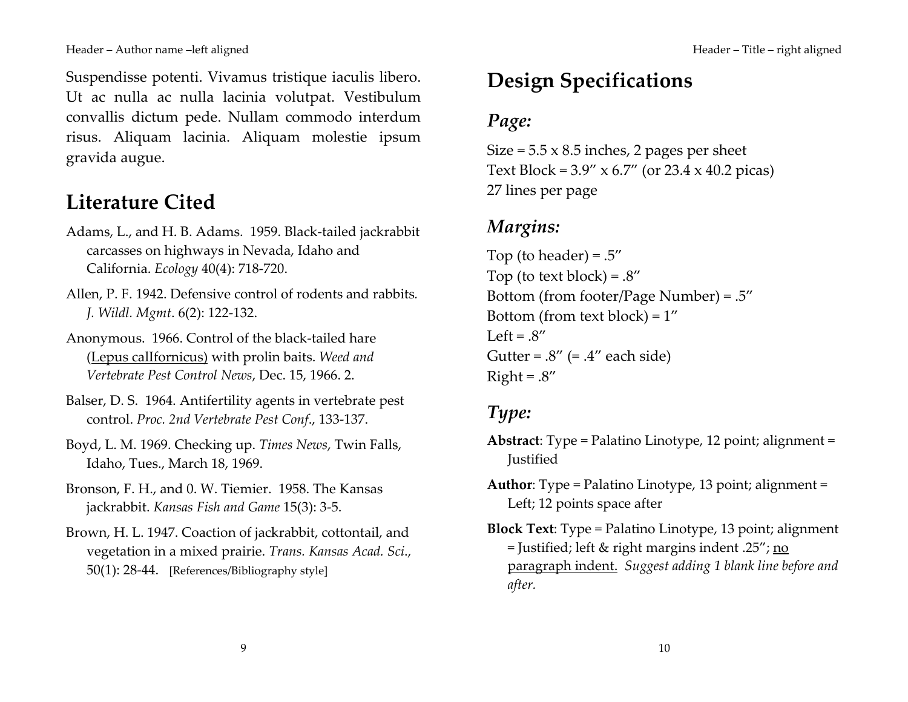Suspendisse potenti. Vivamus tristique iaculis libero. Ut ac nulla ac nulla lacinia volutpat. Vestibulum convallis dictum pede. Nullam commodo interdum risus. Aliquam lacinia. Aliquam molestie ipsum gravida augue.

# **Literature Cited**

- Adams, L., and H. B. Adams. 1959. Black-tailed jackrabbit carcasses on highways in Nevada, Idaho and California. Ecology 40(4): 718-720.
- Allen, P. F. 1942. Defensive control of rodents and rabbits. J. Wildl. Mgmt. 6(2): 122-132.
- Anonymous. 1966. Control of the black-tailed hare (Lepus callfornicus) with prolin baits. Weed and Vertebrate Pest Control News, Dec. 15, 1966. 2.
- Balser, D. S. 1964. Antifertility agents in vertebrate pest control. Proc. 2nd Vertebrate Pest Conf., 133-137.
- Boyd, L. M. 1969. Checking up. Times News, Twin Falls, Idaho, Tues., March 18, 1969.
- Bronson, F. H., and 0. W. Tiemier. 1958. The Kansas jackrabbit. Kansas Fish and Game 15(3): 3-5.
- Brown, H. L. 1947. Coaction of jackrabbit, cottontail, and vegetation in a mixed prairie. Trans. Kansas Acad. Sci., 50(1): 28-44. [References/Bibliography style]

# **Design Specifications**

## Page:

Size =  $5.5 \times 8.5$  inches, 2 pages per sheet Text Block =  $3.9''$  x 6.7" (or 23.4 x 40.2 picas) 27 lines per page

### Margins:

Top (to header) =  $.5''$ Top (to text block) =  $.8''$ Bottom (from footer/Page Number) =  $.5''$ Bottom (from text block) =  $1''$ Left =  $.8''$ Gutter =  $.8''$  (=  $.4''$  each side)  $Right = .8''$ 

## Type:

- **Abstract:** Type = Palatino Linotype, 12 point; alignment = **Justified**
- **Author:** Type = Palatino Linotype, 13 point; alignment = Left; 12 points space after
- **Block Text:** Type = Palatino Linotype, 13 point; alignment = Justified; left & right margins indent .25"; no paragraph indent. Suggest adding 1 blank line before and after.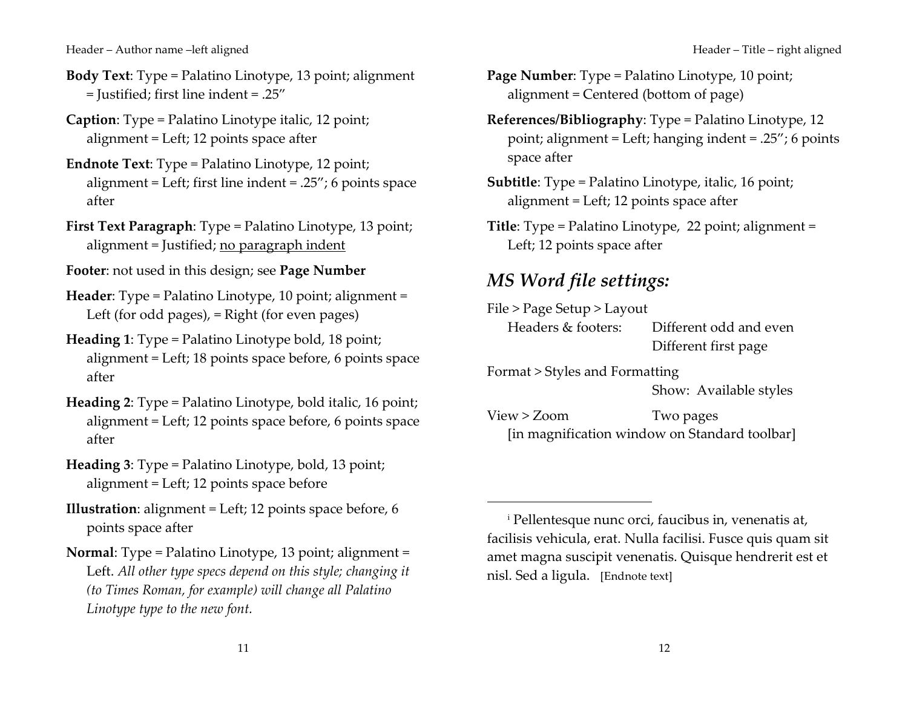- **Body Text:** Type = Palatino Linotype, 13 point; alignment = Justified; first line indent = .25"
- **Caption:** Type = Palatino Linotype italic, 12 point; alignment = Left; 12 points space after
- **Endnote Text:** Type = Palatino Linotype, 12 point; alignment = Left; first line indent = .25"; 6 points space after
- First Text Paragraph: Type = Palatino Linotype, 13 point; alignment = Justified; no paragraph indent
- Footer: not used in this design; see Page Number
- Header: Type = Palatino Linotype, 10 point; alignment = Left (for odd pages),  $=$  Right (for even pages)
- **Heading 1:** Type = Palatino Linotype bold, 18 point; alignment = Left; 18 points space before, 6 points space after
- Heading 2: Type = Palatino Linotype, bold italic, 16 point; alignment = Left; 12 points space before, 6 points space after
- Heading 3: Type = Palatino Linotype, bold, 13 point; alignment = Left; 12 points space before
- **Illustration:** alignment = Left; 12 points space before, 6 points space after
- Normal: Type = Palatino Linotype, 13 point; alignment = Left. All other type specs depend on this style; changing it (to Times Roman, for example) will change all Palatino Linotype type to the new font.
- Page Number: Type = Palatino Linotype, 10 point; alignment = Centered (bottom of page)
- **References/Bibliography:** Type = Palatino Linotype, 12 point; alignment = Left; hanging indent =  $.25$ "; 6 points space after
- **Subtitle:** Type = Palatino Linotype, italic, 16 point; alignment = Left; 12 points space after
- Title: Type = Palatino Linotype, 22 point; alignment = Left; 12 points space after

#### MS Word file settings:

File > Page Setup > Layout Headers & footers: Different odd and even Different first page

Format > Styles and Formatting Show: Available styles

 $View > Zoom$ Two pages [in magnification window on Standard toolbar]

<sup>&</sup>lt;sup>i</sup> Pellentesque nunc orci, faucibus in, venenatis at, facilisis vehicula, erat. Nulla facilisi. Fusce quis quam sit amet magna suscipit venenatis. Quisque hendrerit est et nisl. Sed a ligula. [Endnote text]